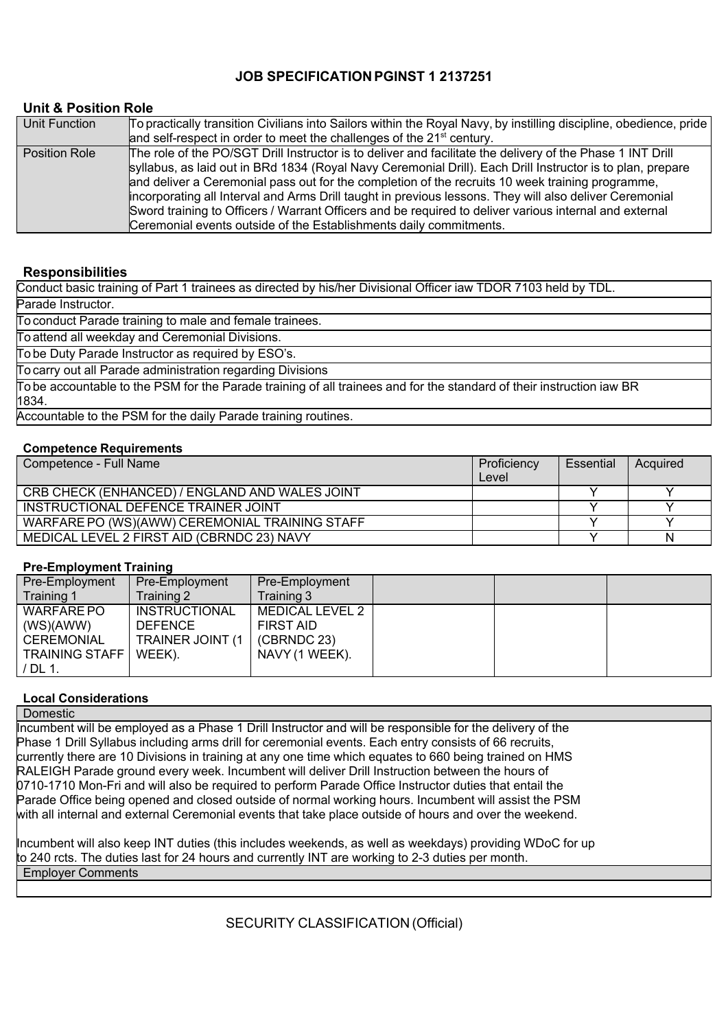### **JOB SPECIFICATION PGINST 1 2137251**

### **Unit & Position Role**

| Unit Function        | To practically transition Civilians into Sailors within the Royal Navy, by instilling discipline, obedience, pride<br>and self-respect in order to meet the challenges of the 21 <sup>st</sup> century.                                                                                                                                                                                                                                                                                                                                                                                                                 |
|----------------------|-------------------------------------------------------------------------------------------------------------------------------------------------------------------------------------------------------------------------------------------------------------------------------------------------------------------------------------------------------------------------------------------------------------------------------------------------------------------------------------------------------------------------------------------------------------------------------------------------------------------------|
| <b>Position Role</b> | The role of the PO/SGT Drill Instructor is to deliver and facilitate the delivery of the Phase 1 INT Drill<br>syllabus, as laid out in BRd 1834 (Royal Navy Ceremonial Drill). Each Drill Instructor is to plan, prepare<br>and deliver a Ceremonial pass out for the completion of the recruits 10 week training programme,<br>incorporating all Interval and Arms Drill taught in previous lessons. They will also deliver Ceremonial<br>Sword training to Officers / Warrant Officers and be required to deliver various internal and external<br>Ceremonial events outside of the Establishments daily commitments. |

### **Responsibilities**

Conduct basic training of Part 1 trainees as directed by his/her Divisional Officer iaw TDOR 7103 held by TDL.

Parade Instructor.

To conduct Parade training to male and female trainees.

To attend all weekday and Ceremonial Divisions.

To be Duty Parade Instructor as required by ESO's.

To carry out all Parade administration regarding Divisions

To be accountable to the PSM for the Parade training of all trainees and for the standard of their instruction iaw BR 1834.

Accountable to the PSM for the daily Parade training routines.

### **Competence Requirements**

| Competence - Full Name                         | Proficiency | Essential | Acquired |
|------------------------------------------------|-------------|-----------|----------|
|                                                | Level       |           |          |
| CRB CHECK (ENHANCED) / ENGLAND AND WALES JOINT |             |           |          |
| INSTRUCTIONAL DEFENCE TRAINER JOINT            |             |           |          |
| WARFARE PO (WS)(AWW) CEREMONIAL TRAINING STAFF |             |           |          |
| MEDICAL LEVEL 2 FIRST AID (CBRNDC 23) NAVY     |             |           | Ν        |

### **Pre-Employment Training**

| Pre-Employment        | Pre-Employment       | Pre-Employment         |  |  |
|-----------------------|----------------------|------------------------|--|--|
| Training 1            | Training 2           | Training 3             |  |  |
| WARFARE PO            | <b>INSTRUCTIONAL</b> | <b>MEDICAL LEVEL 2</b> |  |  |
| (WS)(AWW)             | <b>DEFENCE</b>       | <b>FIRST AID</b>       |  |  |
| CEREMONIAL            | TRAINER JOINT (1     | (CBRNDC 23)            |  |  |
| <b>TRAINING STAFF</b> | WEEK).               | NAVY (1 WEEK).         |  |  |
| ' DL 1.               |                      |                        |  |  |

### **Local Considerations**

**Domestic** 

Incumbent will be employed as a Phase 1 Drill Instructor and will be responsible for the delivery of the Phase 1 Drill Syllabus including arms drill for ceremonial events. Each entry consists of 66 recruits, currently there are 10 Divisions in training at any one time which equates to 660 being trained on HMS RALEIGH Parade ground every week. Incumbent will deliver Drill Instruction between the hours of 0710-1710 Mon-Fri and will also be required to perform Parade Office Instructor duties that entail the Parade Office being opened and closed outside of normal working hours. Incumbent will assist the PSM with all internal and external Ceremonial events that take place outside of hours and over the weekend.

Incumbent will also keep INT duties (this includes weekends, as well as weekdays) providing WDoC for up to 240 rcts. The duties last for 24 hours and currently INT are working to 23 duties per month. Employer Comments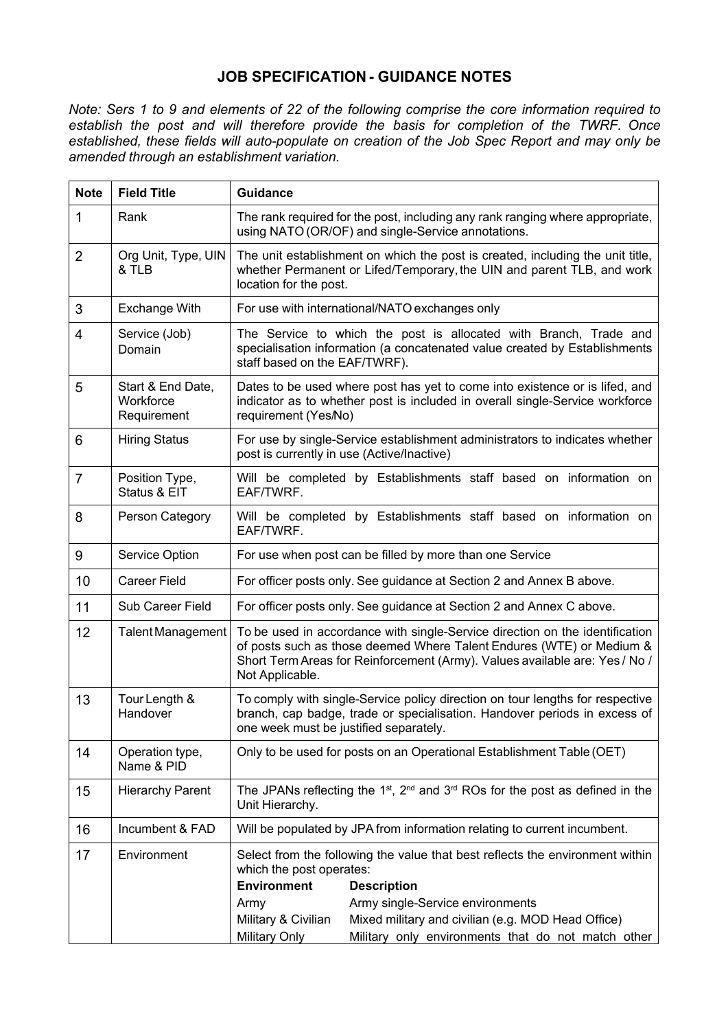### **JOB SPECIFICATION GUIDANCE NOTES**

*Note: Sers 1 to 9 and elements of 22 of the following comprise the core information required to establish the post and will therefore provide the basis for completion of the TWRF. Once established, these fields will autopopulate on creation of the Job Spec Report and may only be amended through an establishment variation.*

| <b>Note</b>    | <b>Field Title</b>                            | <b>Guidance</b>                                                                                                                                                                                                                                        |  |  |
|----------------|-----------------------------------------------|--------------------------------------------------------------------------------------------------------------------------------------------------------------------------------------------------------------------------------------------------------|--|--|
| 1              | Rank                                          | The rank required for the post, including any rank ranging where appropriate,<br>using NATO (OR/OF) and single-Service annotations.                                                                                                                    |  |  |
| $\overline{2}$ | Org Unit, Type, UIN<br>& TLB                  | The unit establishment on which the post is created, including the unit title,<br>whether Permanent or Lifed/Temporary, the UIN and parent TLB, and work<br>location for the post.                                                                     |  |  |
| 3              | <b>Exchange With</b>                          | For use with international/NATO exchanges only                                                                                                                                                                                                         |  |  |
| 4              | Service (Job)<br>Domain                       | The Service to which the post is allocated with Branch, Trade and<br>specialisation information (a concatenated value created by Establishments<br>staff based on the EAF/TWRF).                                                                       |  |  |
| 5              | Start & End Date,<br>Workforce<br>Requirement | Dates to be used where post has yet to come into existence or is lifed, and<br>indicator as to whether post is included in overall single-Service workforce<br>requirement (Yes/No)                                                                    |  |  |
| 6              | <b>Hiring Status</b>                          | For use by single-Service establishment administrators to indicates whether<br>post is currently in use (Active/Inactive)                                                                                                                              |  |  |
| $\overline{7}$ | Position Type,<br>Status & EIT                | Will be completed by Establishments staff based on information on<br>EAF/TWRF.                                                                                                                                                                         |  |  |
| 8              | Person Category                               | Will be completed by Establishments staff based on information on<br>EAF/TWRF.                                                                                                                                                                         |  |  |
| 9              | Service Option                                | For use when post can be filled by more than one Service                                                                                                                                                                                               |  |  |
| 10             | <b>Career Field</b>                           | For officer posts only. See guidance at Section 2 and Annex B above.                                                                                                                                                                                   |  |  |
| 11             | <b>Sub Career Field</b>                       | For officer posts only. See guidance at Section 2 and Annex C above.                                                                                                                                                                                   |  |  |
| 12             | <b>Talent Management</b>                      | To be used in accordance with single-Service direction on the identification<br>of posts such as those deemed Where Talent Endures (WTE) or Medium &<br>Short Term Areas for Reinforcement (Army). Values available are: Yes / No /<br>Not Applicable. |  |  |
| 13             | Tour Length &<br>Handover                     | To comply with single-Service policy direction on tour lengths for respective<br>branch, cap badge, trade or specialisation. Handover periods in excess of<br>one week must be justified separately.                                                   |  |  |
| 14             | Operation type,<br>Name & PID                 | Only to be used for posts on an Operational Establishment Table (OET)                                                                                                                                                                                  |  |  |
| 15             | <b>Hierarchy Parent</b>                       | The JPANs reflecting the 1 <sup>st</sup> , 2 <sup>nd</sup> and 3 <sup>rd</sup> ROs for the post as defined in the<br>Unit Hierarchy.                                                                                                                   |  |  |
| 16             | Incumbent & FAD                               | Will be populated by JPA from information relating to current incumbent.                                                                                                                                                                               |  |  |
| 17             | Environment                                   | Select from the following the value that best reflects the environment within<br>which the post operates:<br><b>Environment</b><br><b>Description</b><br>Army single-Service environments<br>Army                                                      |  |  |
|                |                                               | Military & Civilian<br>Mixed military and civilian (e.g. MOD Head Office)<br>Military Only<br>Military only environments that do not match other                                                                                                       |  |  |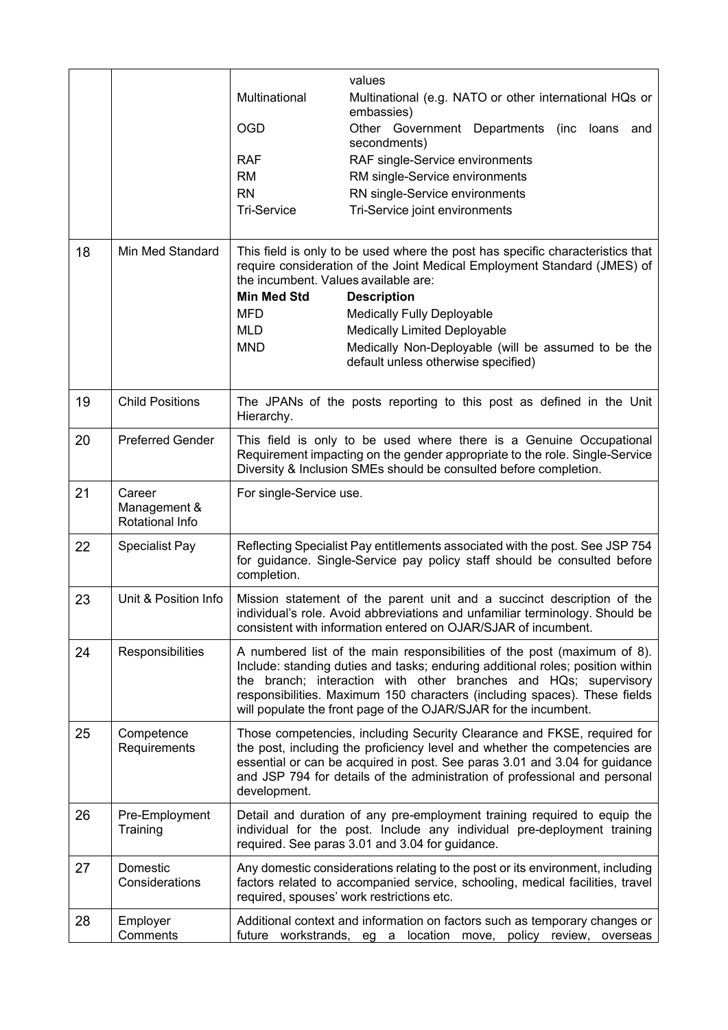|    |                                           |                                      | values                                                                                                                                                                                                                                                                                                                                                                          |
|----|-------------------------------------------|--------------------------------------|---------------------------------------------------------------------------------------------------------------------------------------------------------------------------------------------------------------------------------------------------------------------------------------------------------------------------------------------------------------------------------|
|    |                                           | Multinational                        | Multinational (e.g. NATO or other international HQs or<br>embassies)                                                                                                                                                                                                                                                                                                            |
|    |                                           | <b>OGD</b>                           | Other Government Departments<br>(inc<br>loans<br>and<br>secondments)                                                                                                                                                                                                                                                                                                            |
|    |                                           | <b>RAF</b>                           | RAF single-Service environments                                                                                                                                                                                                                                                                                                                                                 |
|    |                                           | <b>RM</b>                            | RM single-Service environments                                                                                                                                                                                                                                                                                                                                                  |
|    |                                           | <b>RN</b>                            | RN single-Service environments                                                                                                                                                                                                                                                                                                                                                  |
|    |                                           | <b>Tri-Service</b>                   | Tri-Service joint environments                                                                                                                                                                                                                                                                                                                                                  |
| 18 | Min Med Standard                          | the incumbent. Values available are: | This field is only to be used where the post has specific characteristics that<br>require consideration of the Joint Medical Employment Standard (JMES) of                                                                                                                                                                                                                      |
|    |                                           | <b>Min Med Std</b>                   | <b>Description</b>                                                                                                                                                                                                                                                                                                                                                              |
|    |                                           | <b>MFD</b>                           | Medically Fully Deployable                                                                                                                                                                                                                                                                                                                                                      |
|    |                                           | <b>MLD</b>                           | <b>Medically Limited Deployable</b>                                                                                                                                                                                                                                                                                                                                             |
|    |                                           | <b>MND</b>                           | Medically Non-Deployable (will be assumed to be the<br>default unless otherwise specified)                                                                                                                                                                                                                                                                                      |
| 19 | <b>Child Positions</b>                    | Hierarchy.                           | The JPANs of the posts reporting to this post as defined in the Unit                                                                                                                                                                                                                                                                                                            |
| 20 | <b>Preferred Gender</b>                   |                                      | This field is only to be used where there is a Genuine Occupational<br>Requirement impacting on the gender appropriate to the role. Single-Service<br>Diversity & Inclusion SMEs should be consulted before completion.                                                                                                                                                         |
| 21 | Career<br>Management &<br>Rotational Info | For single-Service use.              |                                                                                                                                                                                                                                                                                                                                                                                 |
| 22 | Specialist Pay                            | completion.                          | Reflecting Specialist Pay entitlements associated with the post. See JSP 754<br>for guidance. Single-Service pay policy staff should be consulted before                                                                                                                                                                                                                        |
| 23 | Unit & Position Info                      |                                      | Mission statement of the parent unit and a succinct description of the<br>individual's role. Avoid abbreviations and unfamiliar terminology. Should be<br>consistent with information entered on OJAR/SJAR of incumbent.                                                                                                                                                        |
| 24 | Responsibilities                          |                                      | A numbered list of the main responsibilities of the post (maximum of 8).<br>Include: standing duties and tasks; enduring additional roles; position within<br>the branch; interaction with other branches and HQs; supervisory<br>responsibilities. Maximum 150 characters (including spaces). These fields<br>will populate the front page of the OJAR/SJAR for the incumbent. |
| 25 | Competence<br>Requirements                | development.                         | Those competencies, including Security Clearance and FKSE, required for<br>the post, including the proficiency level and whether the competencies are<br>essential or can be acquired in post. See paras 3.01 and 3.04 for guidance<br>and JSP 794 for details of the administration of professional and personal                                                               |
| 26 | Pre-Employment<br>Training                |                                      | Detail and duration of any pre-employment training required to equip the<br>individual for the post. Include any individual pre-deployment training<br>required. See paras 3.01 and 3.04 for guidance.                                                                                                                                                                          |
| 27 | Domestic<br>Considerations                |                                      | Any domestic considerations relating to the post or its environment, including<br>factors related to accompanied service, schooling, medical facilities, travel<br>required, spouses' work restrictions etc.                                                                                                                                                                    |
| 28 | Employer<br>Comments                      | future workstrands, eg a             | Additional context and information on factors such as temporary changes or<br>location move, policy review,<br>overseas                                                                                                                                                                                                                                                         |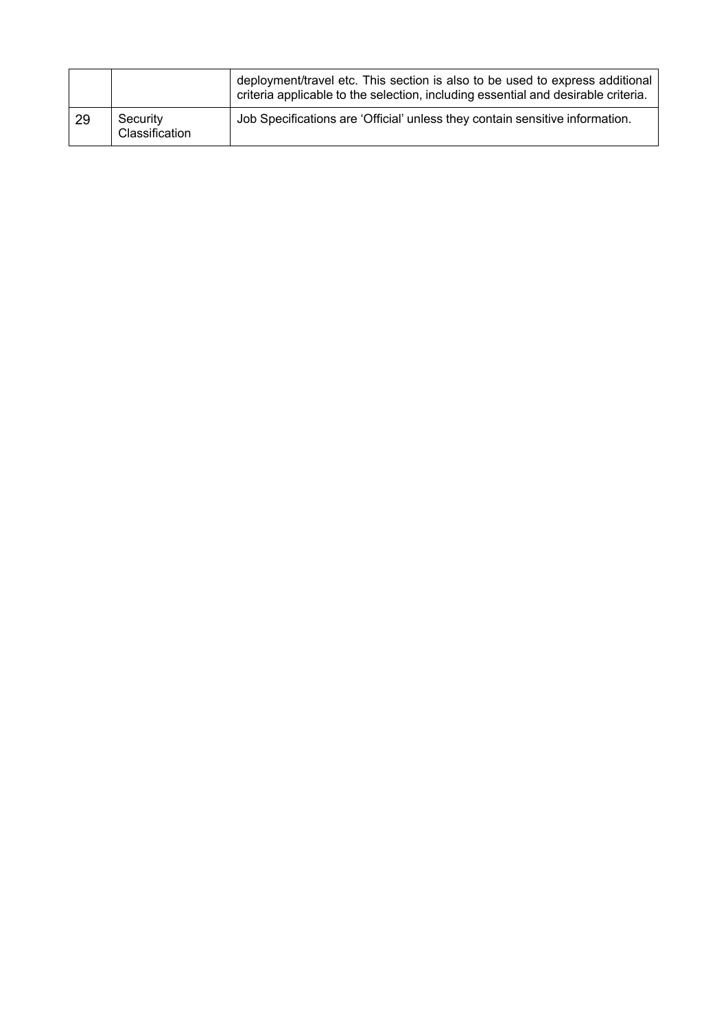|    |                            | deployment/travel etc. This section is also to be used to express additional<br>criteria applicable to the selection, including essential and desirable criteria. |
|----|----------------------------|-------------------------------------------------------------------------------------------------------------------------------------------------------------------|
| 29 | Security<br>Classification | Job Specifications are 'Official' unless they contain sensitive information.                                                                                      |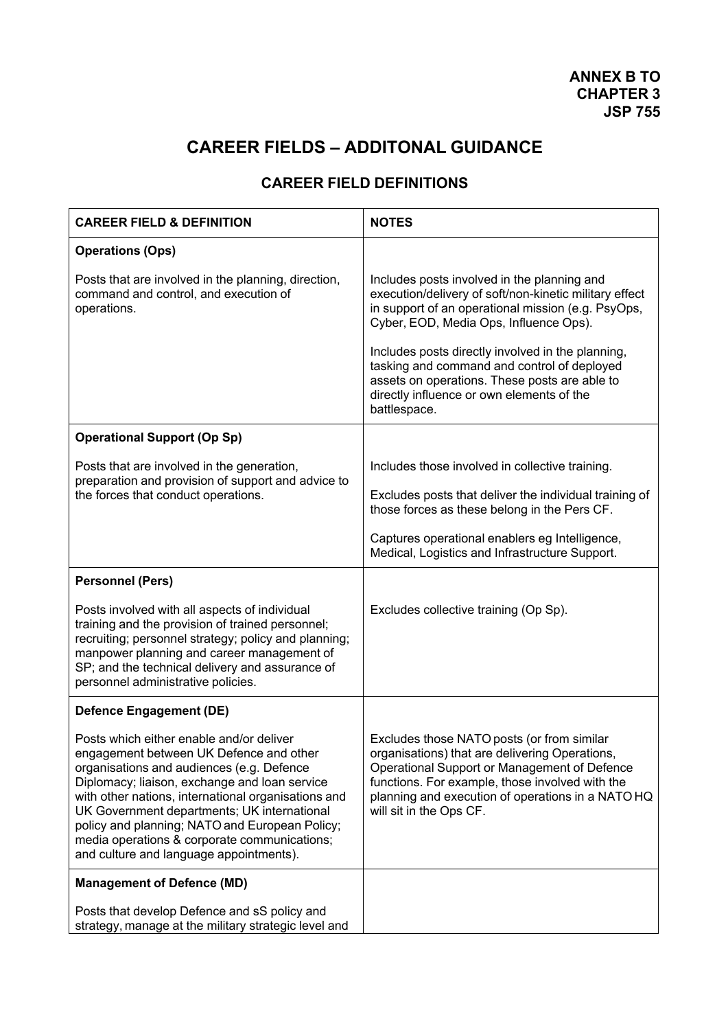# **CAREER FIELDS – ADDITONAL GUIDANCE**

# **CAREER FIELD DEFINITIONS**

| <b>CAREER FIELD &amp; DEFINITION</b>                                                                                                                                                                                                                                                                                                                                                                                                 | <b>NOTES</b>                                                                                                                                                                                                                                                                                                                                                                                                            |
|--------------------------------------------------------------------------------------------------------------------------------------------------------------------------------------------------------------------------------------------------------------------------------------------------------------------------------------------------------------------------------------------------------------------------------------|-------------------------------------------------------------------------------------------------------------------------------------------------------------------------------------------------------------------------------------------------------------------------------------------------------------------------------------------------------------------------------------------------------------------------|
| <b>Operations (Ops)</b>                                                                                                                                                                                                                                                                                                                                                                                                              |                                                                                                                                                                                                                                                                                                                                                                                                                         |
| Posts that are involved in the planning, direction,<br>command and control, and execution of<br>operations.                                                                                                                                                                                                                                                                                                                          | Includes posts involved in the planning and<br>execution/delivery of soft/non-kinetic military effect<br>in support of an operational mission (e.g. PsyOps,<br>Cyber, EOD, Media Ops, Influence Ops).<br>Includes posts directly involved in the planning,<br>tasking and command and control of deployed<br>assets on operations. These posts are able to<br>directly influence or own elements of the<br>battlespace. |
| <b>Operational Support (Op Sp)</b>                                                                                                                                                                                                                                                                                                                                                                                                   |                                                                                                                                                                                                                                                                                                                                                                                                                         |
| Posts that are involved in the generation,<br>preparation and provision of support and advice to<br>the forces that conduct operations.                                                                                                                                                                                                                                                                                              | Includes those involved in collective training.<br>Excludes posts that deliver the individual training of<br>those forces as these belong in the Pers CF.<br>Captures operational enablers eg Intelligence,<br>Medical, Logistics and Infrastructure Support.                                                                                                                                                           |
| <b>Personnel (Pers)</b>                                                                                                                                                                                                                                                                                                                                                                                                              |                                                                                                                                                                                                                                                                                                                                                                                                                         |
| Posts involved with all aspects of individual<br>training and the provision of trained personnel;<br>recruiting; personnel strategy; policy and planning;<br>manpower planning and career management of<br>SP; and the technical delivery and assurance of<br>personnel administrative policies.                                                                                                                                     | Excludes collective training (Op Sp).                                                                                                                                                                                                                                                                                                                                                                                   |
| <b>Defence Engagement (DE)</b>                                                                                                                                                                                                                                                                                                                                                                                                       |                                                                                                                                                                                                                                                                                                                                                                                                                         |
| Posts which either enable and/or deliver<br>engagement between UK Defence and other<br>organisations and audiences (e.g. Defence<br>Diplomacy; liaison, exchange and loan service<br>with other nations, international organisations and<br>UK Government departments; UK international<br>policy and planning; NATO and European Policy;<br>media operations & corporate communications;<br>and culture and language appointments). | Excludes those NATO posts (or from similar<br>organisations) that are delivering Operations,<br>Operational Support or Management of Defence<br>functions. For example, those involved with the<br>planning and execution of operations in a NATO HQ<br>will sit in the Ops CF.                                                                                                                                         |
| <b>Management of Defence (MD)</b>                                                                                                                                                                                                                                                                                                                                                                                                    |                                                                                                                                                                                                                                                                                                                                                                                                                         |
| Posts that develop Defence and sS policy and<br>strategy, manage at the military strategic level and                                                                                                                                                                                                                                                                                                                                 |                                                                                                                                                                                                                                                                                                                                                                                                                         |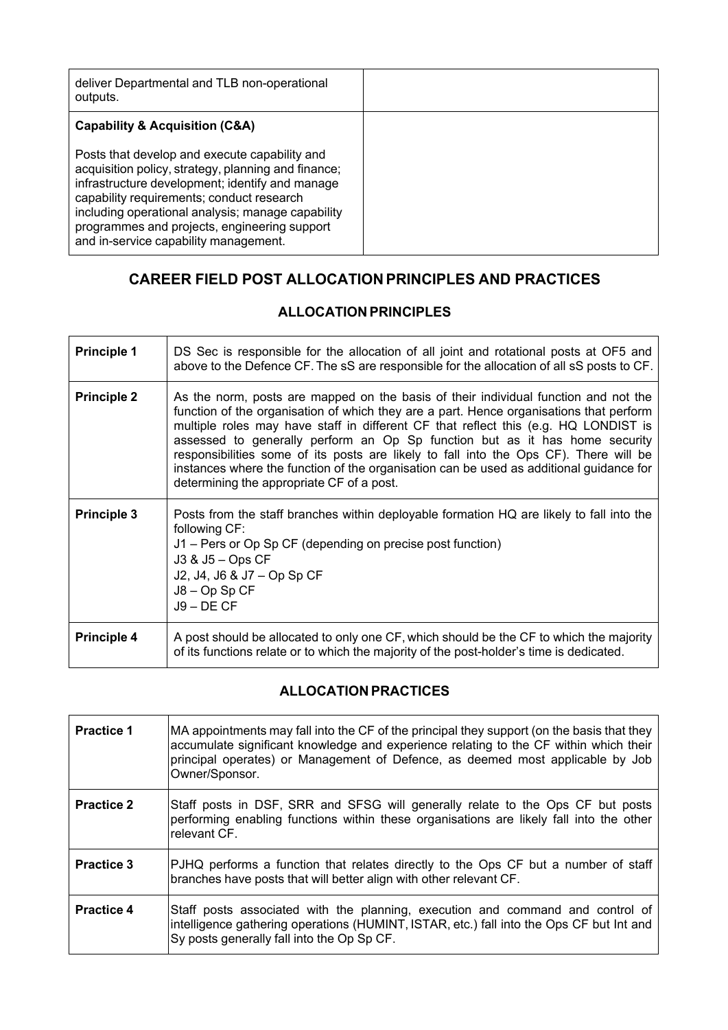| deliver Departmental and TLB non-operational<br>outputs.                                                                                                                                                                                                                                                                                           |  |
|----------------------------------------------------------------------------------------------------------------------------------------------------------------------------------------------------------------------------------------------------------------------------------------------------------------------------------------------------|--|
| Capability & Acquisition (C&A)                                                                                                                                                                                                                                                                                                                     |  |
| Posts that develop and execute capability and<br>acquisition policy, strategy, planning and finance;<br>infrastructure development; identify and manage<br>capability requirements; conduct research<br>including operational analysis; manage capability<br>programmes and projects, engineering support<br>and in-service capability management. |  |

# **CAREER FIELD POST ALLOCATION PRINCIPLES AND PRACTICES**

# **ALLOCATION PRINCIPLES**

| <b>Principle 1</b> | DS Sec is responsible for the allocation of all joint and rotational posts at OF5 and<br>above to the Defence CF. The sS are responsible for the allocation of all sS posts to CF.                                                                                                                                                                                                                                                                                                                                                                                                    |
|--------------------|---------------------------------------------------------------------------------------------------------------------------------------------------------------------------------------------------------------------------------------------------------------------------------------------------------------------------------------------------------------------------------------------------------------------------------------------------------------------------------------------------------------------------------------------------------------------------------------|
| <b>Principle 2</b> | As the norm, posts are mapped on the basis of their individual function and not the<br>function of the organisation of which they are a part. Hence organisations that perform<br>multiple roles may have staff in different CF that reflect this (e.g. HQ LONDIST is<br>assessed to generally perform an Op Sp function but as it has home security<br>responsibilities some of its posts are likely to fall into the Ops CF). There will be<br>instances where the function of the organisation can be used as additional guidance for<br>determining the appropriate CF of a post. |
| <b>Principle 3</b> | Posts from the staff branches within deployable formation HQ are likely to fall into the<br>following CF:<br>J1 – Pers or Op Sp CF (depending on precise post function)<br>J3 & J5 - Ops CF<br>J2, J4, J6 & J7 - Op Sp CF<br>$J8 - Op Sp CF$<br>$J9 - DE CF$                                                                                                                                                                                                                                                                                                                          |
| <b>Principle 4</b> | A post should be allocated to only one CF, which should be the CF to which the majority<br>of its functions relate or to which the majority of the post-holder's time is dedicated.                                                                                                                                                                                                                                                                                                                                                                                                   |

# **ALLOCATION PRACTICES**

| <b>Practice 1</b> | MA appointments may fall into the CF of the principal they support (on the basis that they<br>accumulate significant knowledge and experience relating to the CF within which their<br>principal operates) or Management of Defence, as deemed most applicable by Job<br>Owner/Sponsor. |
|-------------------|-----------------------------------------------------------------------------------------------------------------------------------------------------------------------------------------------------------------------------------------------------------------------------------------|
| <b>Practice 2</b> | Staff posts in DSF, SRR and SFSG will generally relate to the Ops CF but posts<br>performing enabling functions within these organisations are likely fall into the other<br>relevant CF.                                                                                               |
| <b>Practice 3</b> | PJHQ performs a function that relates directly to the Ops CF but a number of staff<br>branches have posts that will better align with other relevant CF.                                                                                                                                |
| <b>Practice 4</b> | Staff posts associated with the planning, execution and command and control of<br>intelligence gathering operations (HUMINT, ISTAR, etc.) fall into the Ops CF but Int and<br>Sy posts generally fall into the Op Sp CF.                                                                |